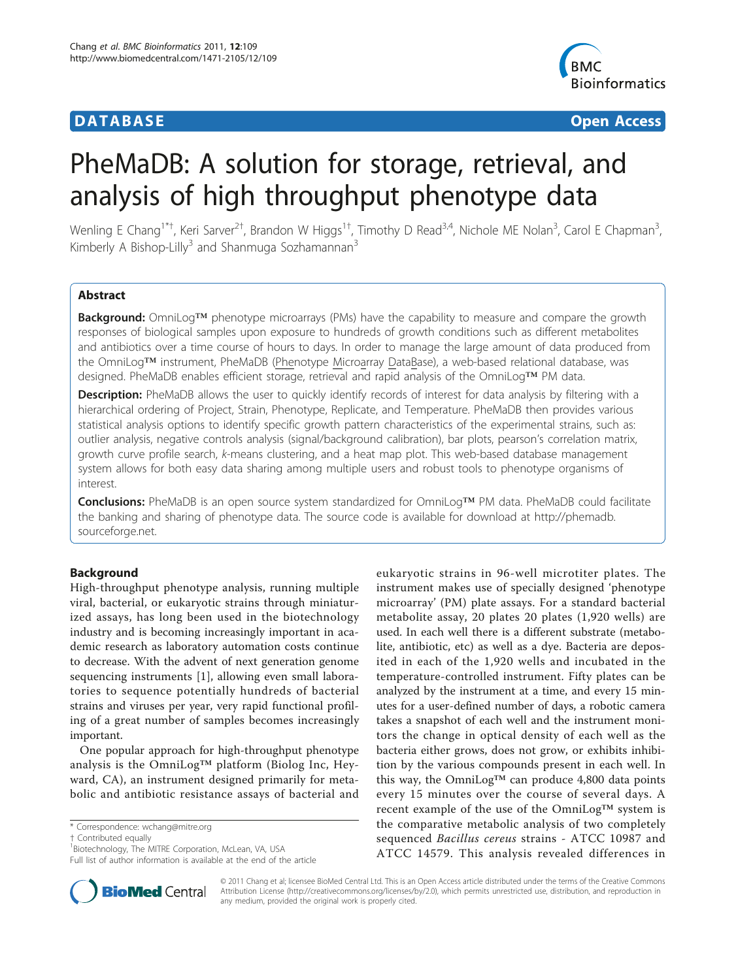

**DATABASE CONSERVERSE IN A SERVERSE EXECUTIVE CONSERVATION CONSERVERSE IN A SERVERSE ENGINEERING CONSERVERS** 

# PheMaDB: A solution for storage, retrieval, and analysis of high throughput phenotype data

Wenling E Chang<sup>1\*†</sup>, Keri Sarver<sup>2†</sup>, Brandon W Higgs<sup>1†</sup>, Timothy D Read<sup>3,4</sup>, Nichole ME Nolan<sup>3</sup>, Carol E Chapman<sup>3</sup> , Kimberly A Bishop-Lilly<sup>3</sup> and Shanmuga Sozhamannan<sup>3</sup>

# Abstract

Background: OmniLog<sup>TM</sup> phenotype microarrays (PMs) have the capability to measure and compare the growth responses of biological samples upon exposure to hundreds of growth conditions such as different metabolites and antibiotics over a time course of hours to days. In order to manage the large amount of data produced from the OmniLog™ instrument, PheMaDB (Phenotype Microarray DataBase), a web-based relational database, was designed. PheMaDB enables efficient storage, retrieval and rapid analysis of the OmniLog™ PM data.

**Description:** PheMaDB allows the user to quickly identify records of interest for data analysis by filtering with a hierarchical ordering of Project, Strain, Phenotype, Replicate, and Temperature. PheMaDB then provides various statistical analysis options to identify specific growth pattern characteristics of the experimental strains, such as: outlier analysis, negative controls analysis (signal/background calibration), bar plots, pearson's correlation matrix, growth curve profile search, k-means clustering, and a heat map plot. This web-based database management system allows for both easy data sharing among multiple users and robust tools to phenotype organisms of interest.

Conclusions: PheMaDB is an open source system standardized for OmniLog™ PM data. PheMaDB could facilitate the banking and sharing of phenotype data. The source code is available for download at [http://phemadb.](http://phemadb.sourceforge.net) [sourceforge.net](http://phemadb.sourceforge.net).

# Background

High-throughput phenotype analysis, running multiple viral, bacterial, or eukaryotic strains through miniaturized assays, has long been used in the biotechnology industry and is becoming increasingly important in academic research as laboratory automation costs continue to decrease. With the advent of next generation genome sequencing instruments [\[1](#page-5-0)], allowing even small laboratories to sequence potentially hundreds of bacterial strains and viruses per year, very rapid functional profiling of a great number of samples becomes increasingly important.

One popular approach for high-throughput phenotype analysis is the OmniLog™ platform (Biolog Inc, Heyward, CA), an instrument designed primarily for metabolic and antibiotic resistance assays of bacterial and

† Contributed equally <sup>1</sup>

Full list of author information is available at the end of the article





© 2011 Chang et al; licensee BioMed Central Ltd. This is an Open Access article distributed under the terms of the Creative Commons Attribution License [\(http://creativecommons.org/licenses/by/2.0](http://creativecommons.org/licenses/by/2.0)), which permits unrestricted use, distribution, and reproduction in any medium, provided the original work is properly cited.

<sup>\*</sup> Correspondence: [wchang@mitre.org](mailto:wchang@mitre.org)

<sup>&</sup>lt;sup>1</sup>Biotechnology, The MITRE Corporation, McLean, VA, USA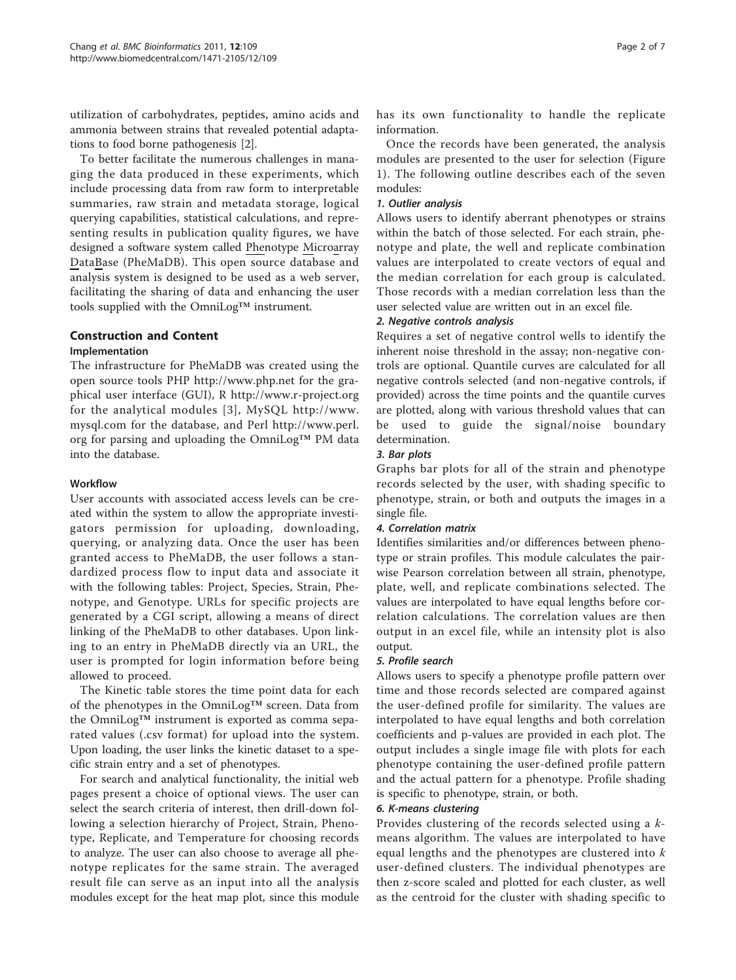utilization of carbohydrates, peptides, amino acids and ammonia between strains that revealed potential adaptations to food borne pathogenesis [\[2\]](#page-5-0).

To better facilitate the numerous challenges in managing the data produced in these experiments, which include processing data from raw form to interpretable summaries, raw strain and metadata storage, logical querying capabilities, statistical calculations, and representing results in publication quality figures, we have designed a software system called Phenotype Microarray DataBase (PheMaDB). This open source database and analysis system is designed to be used as a web server, facilitating the sharing of data and enhancing the user tools supplied with the OmniLog™ instrument.

# Construction and Content

# Implementation

The infrastructure for PheMaDB was created using the open source tools PHP<http://www.php.net> for the graphical user interface (GUI), R<http://www.r-project.org> for the analytical modules [[3](#page-5-0)], MySQL [http://www.](http://www.mysql.com) [mysql.com](http://www.mysql.com) for the database, and Perl [http://www.perl.](http://www.perl.org) [org](http://www.perl.org) for parsing and uploading the OmniLog™ PM data into the database.

# **Workflow**

User accounts with associated access levels can be created within the system to allow the appropriate investigators permission for uploading, downloading, querying, or analyzing data. Once the user has been granted access to PheMaDB, the user follows a standardized process flow to input data and associate it with the following tables: Project, Species, Strain, Phenotype, and Genotype. URLs for specific projects are generated by a CGI script, allowing a means of direct linking of the PheMaDB to other databases. Upon linking to an entry in PheMaDB directly via an URL, the user is prompted for login information before being allowed to proceed.

The Kinetic table stores the time point data for each of the phenotypes in the OmniLog™ screen. Data from the OmniLog™ instrument is exported as comma separated values (.csv format) for upload into the system. Upon loading, the user links the kinetic dataset to a specific strain entry and a set of phenotypes.

For search and analytical functionality, the initial web pages present a choice of optional views. The user can select the search criteria of interest, then drill-down following a selection hierarchy of Project, Strain, Phenotype, Replicate, and Temperature for choosing records to analyze. The user can also choose to average all phenotype replicates for the same strain. The averaged result file can serve as an input into all the analysis modules except for the heat map plot, since this module

has its own functionality to handle the replicate information.

Once the records have been generated, the analysis modules are presented to the user for selection (Figure [1\)](#page-2-0). The following outline describes each of the seven modules:

Allows users to identify aberrant phenotypes or strains within the batch of those selected. For each strain, phenotype and plate, the well and replicate combination values are interpolated to create vectors of equal and the median correlation for each group is calculated. Those records with a median correlation less than the user selected value are written out in an excel file.

Requires a set of negative control wells to identify the inherent noise threshold in the assay; non-negative controls are optional. Quantile curves are calculated for all negative controls selected (and non-negative controls, if provided) across the time points and the quantile curves are plotted, along with various threshold values that can be used to guide the signal/noise boundary determination.

### 3. Bar plots

Graphs bar plots for all of the strain and phenotype records selected by the user, with shading specific to phenotype, strain, or both and outputs the images in a single file.

Identifies similarities and/or differences between phenotype or strain profiles. This module calculates the pairwise Pearson correlation between all strain, phenotype, plate, well, and replicate combinations selected. The values are interpolated to have equal lengths before correlation calculations. The correlation values are then output in an excel file, while an intensity plot is also output.

Allows users to specify a phenotype profile pattern over time and those records selected are compared against the user-defined profile for similarity. The values are interpolated to have equal lengths and both correlation coefficients and p-values are provided in each plot. The output includes a single image file with plots for each phenotype containing the user-defined profile pattern and the actual pattern for a phenotype. Profile shading is specific to phenotype, strain, or both.

Provides clustering of the records selected using a  $k$ means algorithm. The values are interpolated to have equal lengths and the phenotypes are clustered into  $k$ user-defined clusters. The individual phenotypes are then z-score scaled and plotted for each cluster, as well as the centroid for the cluster with shading specific to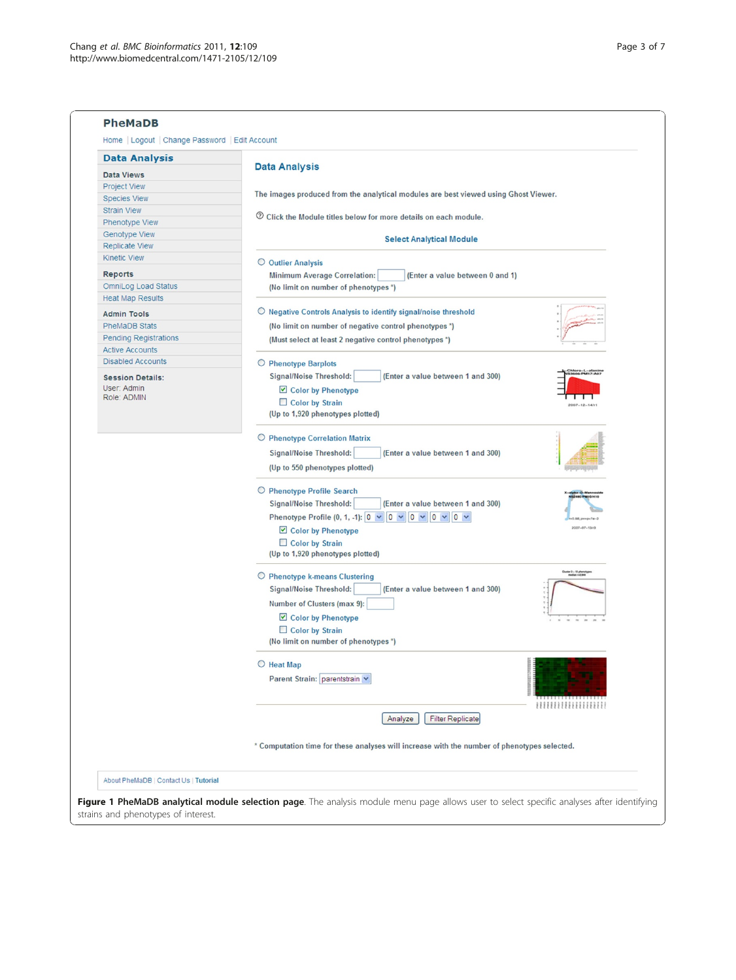<span id="page-2-0"></span>

| <b>Data Analysis</b><br><b>Project View</b><br>The images produced from the analytical modules are best viewed using Ghost Viewer.<br><b>Species View</b><br><b>Strain View</b><br>2 Click the Module titles below for more details on each module.<br><b>Phenotype View</b><br><b>Genotype View</b><br><b>Select Analytical Module</b><br><b>Replicate View</b><br><b>Kinetic View</b><br>O Outlier Analysis<br><b>Reports</b><br>(Enter a value between 0 and 1)<br><b>Minimum Average Correlation:</b><br><b>OmniLog Load Status</b><br>(No limit on number of phenotypes *)<br><b>Heat Map Results</b><br>O Negative Controls Analysis to identify signal/noise threshold<br><b>Admin Tools</b><br><b>PheMaDB Stats</b><br>(No limit on number of negative control phenotypes *)<br><b>Pending Registrations</b><br>(Must select at least 2 negative control phenotypes *)<br><b>Active Accounts</b><br><b>Disabled Accounts</b><br>O Phenotype Barplots<br><b>Signal/Noise Threshold:</b><br>(Enter a value between 1 and 300)<br><b>Session Details:</b><br>User: Admin<br>☑ Color by Phenotype<br>Role: ADMIN<br>$\Box$ Color by Strain<br>$2007 - 12 - 14/1$<br>(Up to 1,920 phenotypes plotted)<br>O Phenotype Correlation Matrix<br>(Enter a value between 1 and 300)<br>Signal/Noise Threshold:<br>(Up to 550 phenotypes plotted)<br>O Phenotype Profile Search<br><b>Signal/Noise Threshold:</b><br>(Enter a value between 1 and 300)<br>Phenotype Profile (0, 1, -1): $0 \times 0 \times 0 \times 0 \times 0$<br>2007-07-13/0<br><b>☑</b> Color by Phenotype<br>$\Box$ Color by Strain<br>(Up to 1,920 phenotypes plotted)<br>.<br>Dunder 3 - 15 pheno<br>median rud M4<br>$\bigcirc$ Phenotype k-means Clustering<br><b>Signal/Noise Threshold:</b><br>(Enter a value between 1 and 300)<br>Number of Clusters (max 9):<br>☑ Color by Phenotype<br>Color by Strain<br>(No limit on number of phenotypes *)<br>O Heat Map<br>Parent Strain: parentstrain v<br><b>Filter Replicate</b><br>Analyze | <b>Data Analysis</b> |                                                                                             |
|---------------------------------------------------------------------------------------------------------------------------------------------------------------------------------------------------------------------------------------------------------------------------------------------------------------------------------------------------------------------------------------------------------------------------------------------------------------------------------------------------------------------------------------------------------------------------------------------------------------------------------------------------------------------------------------------------------------------------------------------------------------------------------------------------------------------------------------------------------------------------------------------------------------------------------------------------------------------------------------------------------------------------------------------------------------------------------------------------------------------------------------------------------------------------------------------------------------------------------------------------------------------------------------------------------------------------------------------------------------------------------------------------------------------------------------------------------------------------------------------------------------------------------------------------------------------------------------------------------------------------------------------------------------------------------------------------------------------------------------------------------------------------------------------------------------------------------------------------------------------------------------------------------------------------------------------------------------------------------------------------------------|----------------------|---------------------------------------------------------------------------------------------|
|                                                                                                                                                                                                                                                                                                                                                                                                                                                                                                                                                                                                                                                                                                                                                                                                                                                                                                                                                                                                                                                                                                                                                                                                                                                                                                                                                                                                                                                                                                                                                                                                                                                                                                                                                                                                                                                                                                                                                                                                               | <b>Data Views</b>    |                                                                                             |
|                                                                                                                                                                                                                                                                                                                                                                                                                                                                                                                                                                                                                                                                                                                                                                                                                                                                                                                                                                                                                                                                                                                                                                                                                                                                                                                                                                                                                                                                                                                                                                                                                                                                                                                                                                                                                                                                                                                                                                                                               |                      |                                                                                             |
|                                                                                                                                                                                                                                                                                                                                                                                                                                                                                                                                                                                                                                                                                                                                                                                                                                                                                                                                                                                                                                                                                                                                                                                                                                                                                                                                                                                                                                                                                                                                                                                                                                                                                                                                                                                                                                                                                                                                                                                                               |                      |                                                                                             |
|                                                                                                                                                                                                                                                                                                                                                                                                                                                                                                                                                                                                                                                                                                                                                                                                                                                                                                                                                                                                                                                                                                                                                                                                                                                                                                                                                                                                                                                                                                                                                                                                                                                                                                                                                                                                                                                                                                                                                                                                               |                      |                                                                                             |
|                                                                                                                                                                                                                                                                                                                                                                                                                                                                                                                                                                                                                                                                                                                                                                                                                                                                                                                                                                                                                                                                                                                                                                                                                                                                                                                                                                                                                                                                                                                                                                                                                                                                                                                                                                                                                                                                                                                                                                                                               |                      |                                                                                             |
|                                                                                                                                                                                                                                                                                                                                                                                                                                                                                                                                                                                                                                                                                                                                                                                                                                                                                                                                                                                                                                                                                                                                                                                                                                                                                                                                                                                                                                                                                                                                                                                                                                                                                                                                                                                                                                                                                                                                                                                                               |                      |                                                                                             |
|                                                                                                                                                                                                                                                                                                                                                                                                                                                                                                                                                                                                                                                                                                                                                                                                                                                                                                                                                                                                                                                                                                                                                                                                                                                                                                                                                                                                                                                                                                                                                                                                                                                                                                                                                                                                                                                                                                                                                                                                               |                      |                                                                                             |
|                                                                                                                                                                                                                                                                                                                                                                                                                                                                                                                                                                                                                                                                                                                                                                                                                                                                                                                                                                                                                                                                                                                                                                                                                                                                                                                                                                                                                                                                                                                                                                                                                                                                                                                                                                                                                                                                                                                                                                                                               |                      |                                                                                             |
|                                                                                                                                                                                                                                                                                                                                                                                                                                                                                                                                                                                                                                                                                                                                                                                                                                                                                                                                                                                                                                                                                                                                                                                                                                                                                                                                                                                                                                                                                                                                                                                                                                                                                                                                                                                                                                                                                                                                                                                                               |                      |                                                                                             |
|                                                                                                                                                                                                                                                                                                                                                                                                                                                                                                                                                                                                                                                                                                                                                                                                                                                                                                                                                                                                                                                                                                                                                                                                                                                                                                                                                                                                                                                                                                                                                                                                                                                                                                                                                                                                                                                                                                                                                                                                               |                      |                                                                                             |
|                                                                                                                                                                                                                                                                                                                                                                                                                                                                                                                                                                                                                                                                                                                                                                                                                                                                                                                                                                                                                                                                                                                                                                                                                                                                                                                                                                                                                                                                                                                                                                                                                                                                                                                                                                                                                                                                                                                                                                                                               |                      |                                                                                             |
|                                                                                                                                                                                                                                                                                                                                                                                                                                                                                                                                                                                                                                                                                                                                                                                                                                                                                                                                                                                                                                                                                                                                                                                                                                                                                                                                                                                                                                                                                                                                                                                                                                                                                                                                                                                                                                                                                                                                                                                                               |                      |                                                                                             |
|                                                                                                                                                                                                                                                                                                                                                                                                                                                                                                                                                                                                                                                                                                                                                                                                                                                                                                                                                                                                                                                                                                                                                                                                                                                                                                                                                                                                                                                                                                                                                                                                                                                                                                                                                                                                                                                                                                                                                                                                               |                      |                                                                                             |
|                                                                                                                                                                                                                                                                                                                                                                                                                                                                                                                                                                                                                                                                                                                                                                                                                                                                                                                                                                                                                                                                                                                                                                                                                                                                                                                                                                                                                                                                                                                                                                                                                                                                                                                                                                                                                                                                                                                                                                                                               |                      |                                                                                             |
|                                                                                                                                                                                                                                                                                                                                                                                                                                                                                                                                                                                                                                                                                                                                                                                                                                                                                                                                                                                                                                                                                                                                                                                                                                                                                                                                                                                                                                                                                                                                                                                                                                                                                                                                                                                                                                                                                                                                                                                                               |                      |                                                                                             |
|                                                                                                                                                                                                                                                                                                                                                                                                                                                                                                                                                                                                                                                                                                                                                                                                                                                                                                                                                                                                                                                                                                                                                                                                                                                                                                                                                                                                                                                                                                                                                                                                                                                                                                                                                                                                                                                                                                                                                                                                               |                      |                                                                                             |
|                                                                                                                                                                                                                                                                                                                                                                                                                                                                                                                                                                                                                                                                                                                                                                                                                                                                                                                                                                                                                                                                                                                                                                                                                                                                                                                                                                                                                                                                                                                                                                                                                                                                                                                                                                                                                                                                                                                                                                                                               |                      |                                                                                             |
|                                                                                                                                                                                                                                                                                                                                                                                                                                                                                                                                                                                                                                                                                                                                                                                                                                                                                                                                                                                                                                                                                                                                                                                                                                                                                                                                                                                                                                                                                                                                                                                                                                                                                                                                                                                                                                                                                                                                                                                                               |                      |                                                                                             |
|                                                                                                                                                                                                                                                                                                                                                                                                                                                                                                                                                                                                                                                                                                                                                                                                                                                                                                                                                                                                                                                                                                                                                                                                                                                                                                                                                                                                                                                                                                                                                                                                                                                                                                                                                                                                                                                                                                                                                                                                               |                      |                                                                                             |
|                                                                                                                                                                                                                                                                                                                                                                                                                                                                                                                                                                                                                                                                                                                                                                                                                                                                                                                                                                                                                                                                                                                                                                                                                                                                                                                                                                                                                                                                                                                                                                                                                                                                                                                                                                                                                                                                                                                                                                                                               |                      |                                                                                             |
|                                                                                                                                                                                                                                                                                                                                                                                                                                                                                                                                                                                                                                                                                                                                                                                                                                                                                                                                                                                                                                                                                                                                                                                                                                                                                                                                                                                                                                                                                                                                                                                                                                                                                                                                                                                                                                                                                                                                                                                                               |                      |                                                                                             |
|                                                                                                                                                                                                                                                                                                                                                                                                                                                                                                                                                                                                                                                                                                                                                                                                                                                                                                                                                                                                                                                                                                                                                                                                                                                                                                                                                                                                                                                                                                                                                                                                                                                                                                                                                                                                                                                                                                                                                                                                               |                      |                                                                                             |
|                                                                                                                                                                                                                                                                                                                                                                                                                                                                                                                                                                                                                                                                                                                                                                                                                                                                                                                                                                                                                                                                                                                                                                                                                                                                                                                                                                                                                                                                                                                                                                                                                                                                                                                                                                                                                                                                                                                                                                                                               |                      |                                                                                             |
|                                                                                                                                                                                                                                                                                                                                                                                                                                                                                                                                                                                                                                                                                                                                                                                                                                                                                                                                                                                                                                                                                                                                                                                                                                                                                                                                                                                                                                                                                                                                                                                                                                                                                                                                                                                                                                                                                                                                                                                                               |                      |                                                                                             |
|                                                                                                                                                                                                                                                                                                                                                                                                                                                                                                                                                                                                                                                                                                                                                                                                                                                                                                                                                                                                                                                                                                                                                                                                                                                                                                                                                                                                                                                                                                                                                                                                                                                                                                                                                                                                                                                                                                                                                                                                               |                      |                                                                                             |
|                                                                                                                                                                                                                                                                                                                                                                                                                                                                                                                                                                                                                                                                                                                                                                                                                                                                                                                                                                                                                                                                                                                                                                                                                                                                                                                                                                                                                                                                                                                                                                                                                                                                                                                                                                                                                                                                                                                                                                                                               |                      |                                                                                             |
|                                                                                                                                                                                                                                                                                                                                                                                                                                                                                                                                                                                                                                                                                                                                                                                                                                                                                                                                                                                                                                                                                                                                                                                                                                                                                                                                                                                                                                                                                                                                                                                                                                                                                                                                                                                                                                                                                                                                                                                                               |                      |                                                                                             |
|                                                                                                                                                                                                                                                                                                                                                                                                                                                                                                                                                                                                                                                                                                                                                                                                                                                                                                                                                                                                                                                                                                                                                                                                                                                                                                                                                                                                                                                                                                                                                                                                                                                                                                                                                                                                                                                                                                                                                                                                               |                      |                                                                                             |
|                                                                                                                                                                                                                                                                                                                                                                                                                                                                                                                                                                                                                                                                                                                                                                                                                                                                                                                                                                                                                                                                                                                                                                                                                                                                                                                                                                                                                                                                                                                                                                                                                                                                                                                                                                                                                                                                                                                                                                                                               |                      |                                                                                             |
|                                                                                                                                                                                                                                                                                                                                                                                                                                                                                                                                                                                                                                                                                                                                                                                                                                                                                                                                                                                                                                                                                                                                                                                                                                                                                                                                                                                                                                                                                                                                                                                                                                                                                                                                                                                                                                                                                                                                                                                                               |                      |                                                                                             |
|                                                                                                                                                                                                                                                                                                                                                                                                                                                                                                                                                                                                                                                                                                                                                                                                                                                                                                                                                                                                                                                                                                                                                                                                                                                                                                                                                                                                                                                                                                                                                                                                                                                                                                                                                                                                                                                                                                                                                                                                               |                      |                                                                                             |
|                                                                                                                                                                                                                                                                                                                                                                                                                                                                                                                                                                                                                                                                                                                                                                                                                                                                                                                                                                                                                                                                                                                                                                                                                                                                                                                                                                                                                                                                                                                                                                                                                                                                                                                                                                                                                                                                                                                                                                                                               |                      |                                                                                             |
|                                                                                                                                                                                                                                                                                                                                                                                                                                                                                                                                                                                                                                                                                                                                                                                                                                                                                                                                                                                                                                                                                                                                                                                                                                                                                                                                                                                                                                                                                                                                                                                                                                                                                                                                                                                                                                                                                                                                                                                                               |                      |                                                                                             |
|                                                                                                                                                                                                                                                                                                                                                                                                                                                                                                                                                                                                                                                                                                                                                                                                                                                                                                                                                                                                                                                                                                                                                                                                                                                                                                                                                                                                                                                                                                                                                                                                                                                                                                                                                                                                                                                                                                                                                                                                               |                      |                                                                                             |
|                                                                                                                                                                                                                                                                                                                                                                                                                                                                                                                                                                                                                                                                                                                                                                                                                                                                                                                                                                                                                                                                                                                                                                                                                                                                                                                                                                                                                                                                                                                                                                                                                                                                                                                                                                                                                                                                                                                                                                                                               |                      |                                                                                             |
|                                                                                                                                                                                                                                                                                                                                                                                                                                                                                                                                                                                                                                                                                                                                                                                                                                                                                                                                                                                                                                                                                                                                                                                                                                                                                                                                                                                                                                                                                                                                                                                                                                                                                                                                                                                                                                                                                                                                                                                                               |                      |                                                                                             |
|                                                                                                                                                                                                                                                                                                                                                                                                                                                                                                                                                                                                                                                                                                                                                                                                                                                                                                                                                                                                                                                                                                                                                                                                                                                                                                                                                                                                                                                                                                                                                                                                                                                                                                                                                                                                                                                                                                                                                                                                               |                      |                                                                                             |
|                                                                                                                                                                                                                                                                                                                                                                                                                                                                                                                                                                                                                                                                                                                                                                                                                                                                                                                                                                                                                                                                                                                                                                                                                                                                                                                                                                                                                                                                                                                                                                                                                                                                                                                                                                                                                                                                                                                                                                                                               |                      |                                                                                             |
|                                                                                                                                                                                                                                                                                                                                                                                                                                                                                                                                                                                                                                                                                                                                                                                                                                                                                                                                                                                                                                                                                                                                                                                                                                                                                                                                                                                                                                                                                                                                                                                                                                                                                                                                                                                                                                                                                                                                                                                                               |                      |                                                                                             |
|                                                                                                                                                                                                                                                                                                                                                                                                                                                                                                                                                                                                                                                                                                                                                                                                                                                                                                                                                                                                                                                                                                                                                                                                                                                                                                                                                                                                                                                                                                                                                                                                                                                                                                                                                                                                                                                                                                                                                                                                               |                      |                                                                                             |
|                                                                                                                                                                                                                                                                                                                                                                                                                                                                                                                                                                                                                                                                                                                                                                                                                                                                                                                                                                                                                                                                                                                                                                                                                                                                                                                                                                                                                                                                                                                                                                                                                                                                                                                                                                                                                                                                                                                                                                                                               |                      |                                                                                             |
|                                                                                                                                                                                                                                                                                                                                                                                                                                                                                                                                                                                                                                                                                                                                                                                                                                                                                                                                                                                                                                                                                                                                                                                                                                                                                                                                                                                                                                                                                                                                                                                                                                                                                                                                                                                                                                                                                                                                                                                                               |                      |                                                                                             |
|                                                                                                                                                                                                                                                                                                                                                                                                                                                                                                                                                                                                                                                                                                                                                                                                                                                                                                                                                                                                                                                                                                                                                                                                                                                                                                                                                                                                                                                                                                                                                                                                                                                                                                                                                                                                                                                                                                                                                                                                               |                      |                                                                                             |
|                                                                                                                                                                                                                                                                                                                                                                                                                                                                                                                                                                                                                                                                                                                                                                                                                                                                                                                                                                                                                                                                                                                                                                                                                                                                                                                                                                                                                                                                                                                                                                                                                                                                                                                                                                                                                                                                                                                                                                                                               |                      |                                                                                             |
|                                                                                                                                                                                                                                                                                                                                                                                                                                                                                                                                                                                                                                                                                                                                                                                                                                                                                                                                                                                                                                                                                                                                                                                                                                                                                                                                                                                                                                                                                                                                                                                                                                                                                                                                                                                                                                                                                                                                                                                                               |                      |                                                                                             |
|                                                                                                                                                                                                                                                                                                                                                                                                                                                                                                                                                                                                                                                                                                                                                                                                                                                                                                                                                                                                                                                                                                                                                                                                                                                                                                                                                                                                                                                                                                                                                                                                                                                                                                                                                                                                                                                                                                                                                                                                               |                      | * Computation time for these analyses will increase with the number of phenotypes selected. |
|                                                                                                                                                                                                                                                                                                                                                                                                                                                                                                                                                                                                                                                                                                                                                                                                                                                                                                                                                                                                                                                                                                                                                                                                                                                                                                                                                                                                                                                                                                                                                                                                                                                                                                                                                                                                                                                                                                                                                                                                               |                      |                                                                                             |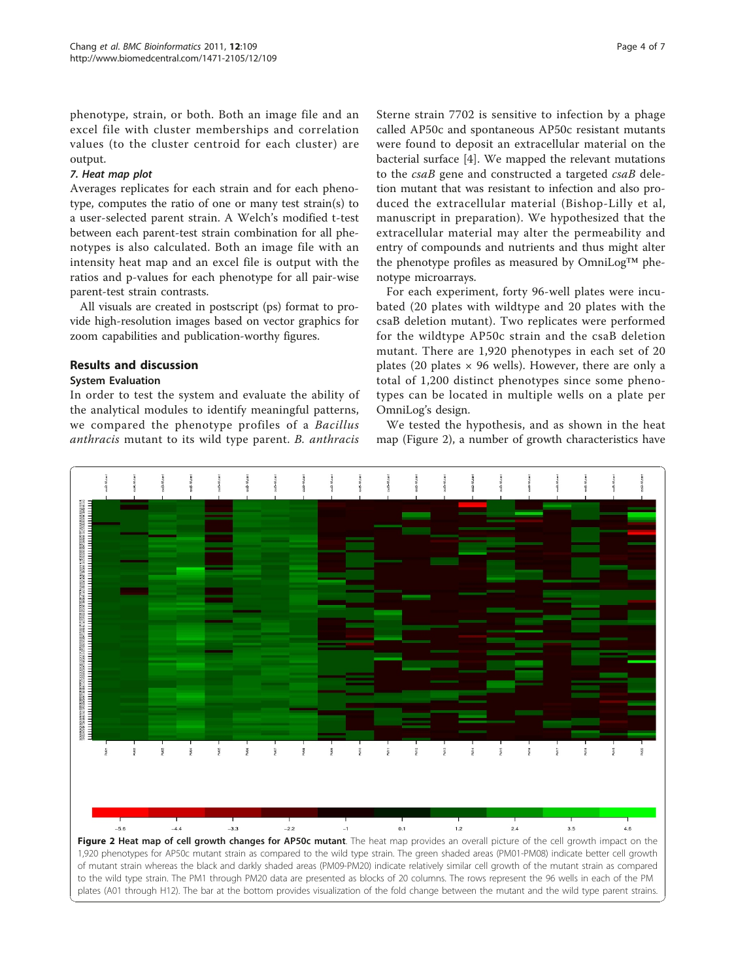phenotype, strain, or both. Both an image file and an excel file with cluster memberships and correlation values (to the cluster centroid for each cluster) are output.

Averages replicates for each strain and for each phenotype, computes the ratio of one or many test strain(s) to a user-selected parent strain. A Welch's modified t-test between each parent-test strain combination for all phenotypes is also calculated. Both an image file with an intensity heat map and an excel file is output with the ratios and p-values for each phenotype for all pair-wise parent-test strain contrasts.

All visuals are created in postscript (ps) format to provide high-resolution images based on vector graphics for zoom capabilities and publication-worthy figures.

# Results and discussion

# System Evaluation

In order to test the system and evaluate the ability of the analytical modules to identify meaningful patterns, we compared the phenotype profiles of a Bacillus anthracis mutant to its wild type parent. B. anthracis Sterne strain 7702 is sensitive to infection by a phage called AP50c and spontaneous AP50c resistant mutants were found to deposit an extracellular material on the bacterial surface [\[4](#page-5-0)]. We mapped the relevant mutations to the *csaB* gene and constructed a targeted *csaB* deletion mutant that was resistant to infection and also produced the extracellular material (Bishop-Lilly et al, manuscript in preparation). We hypothesized that the extracellular material may alter the permeability and entry of compounds and nutrients and thus might alter the phenotype profiles as measured by OmniLog™ phenotype microarrays.

For each experiment, forty 96-well plates were incubated (20 plates with wildtype and 20 plates with the csaB deletion mutant). Two replicates were performed for the wildtype AP50c strain and the csaB deletion mutant. There are 1,920 phenotypes in each set of 20 plates (20 plates  $\times$  96 wells). However, there are only a total of 1,200 distinct phenotypes since some phenotypes can be located in multiple wells on a plate per OmniLog's design.

We tested the hypothesis, and as shown in the heat map (Figure 2), a number of growth characteristics have



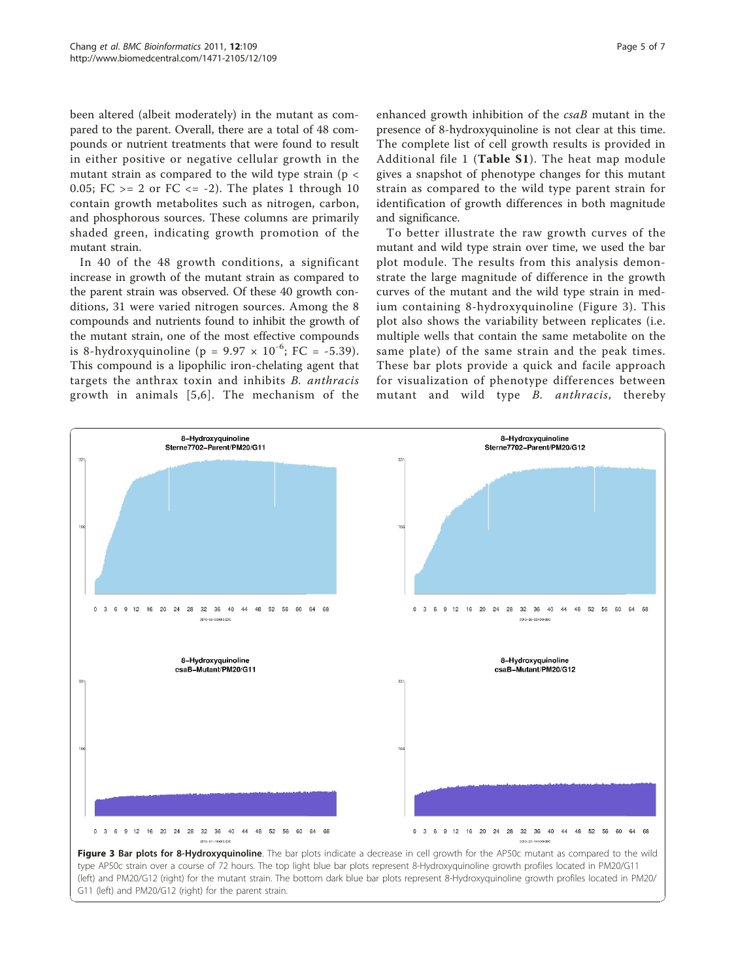been altered (albeit moderately) in the mutant as compared to the parent. Overall, there are a total of 48 compounds or nutrient treatments that were found to result in either positive or negative cellular growth in the mutant strain as compared to the wild type strain (p < 0.05; FC  $> = 2$  or FC  $\lt = -2$ ). The plates 1 through 10 contain growth metabolites such as nitrogen, carbon, and phosphorous sources. These columns are primarily shaded green, indicating growth promotion of the mutant strain.

In 40 of the 48 growth conditions, a significant increase in growth of the mutant strain as compared to the parent strain was observed. Of these 40 growth conditions, 31 were varied nitrogen sources. Among the 8 compounds and nutrients found to inhibit the growth of the mutant strain, one of the most effective compounds is 8-hydroxyquinoline ( $p = 9.97 \times 10^{-6}$ ; FC = -5.39). This compound is a lipophilic iron-chelating agent that targets the anthrax toxin and inhibits B. anthracis growth in animals [[5,6\]](#page-6-0). The mechanism of the enhanced growth inhibition of the csaB mutant in the presence of 8-hydroxyquinoline is not clear at this time. The complete list of cell growth results is provided in Additional file  $1$  (Table S1). The heat map module gives a snapshot of phenotype changes for this mutant strain as compared to the wild type parent strain for identification of growth differences in both magnitude and significance.

To better illustrate the raw growth curves of the mutant and wild type strain over time, we used the bar plot module. The results from this analysis demonstrate the large magnitude of difference in the growth curves of the mutant and the wild type strain in medium containing 8-hydroxyquinoline (Figure 3). This plot also shows the variability between replicates (i.e. multiple wells that contain the same metabolite on the same plate) of the same strain and the peak times. These bar plots provide a quick and facile approach for visualization of phenotype differences between mutant and wild type B. anthracis, thereby



type AP50c strain over a course of 72 hours. The top light blue bar plots represent 8-Hydroxyquinoline growth profiles located in PM20/G11 (left) and PM20/G12 (right) for the mutant strain. The bottom dark blue bar plots represent 8-Hydroxyquinoline growth profiles located in PM20/ G11 (left) and PM20/G12 (right) for the parent strain.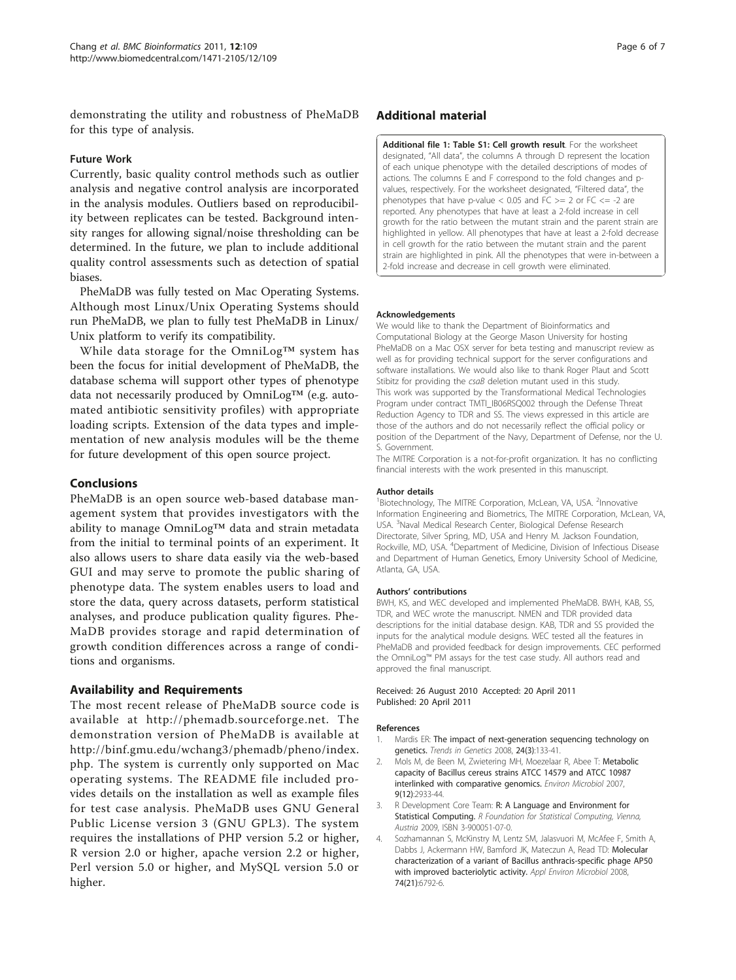<span id="page-5-0"></span>demonstrating the utility and robustness of PheMaDB for this type of analysis.

### Future Work

Currently, basic quality control methods such as outlier analysis and negative control analysis are incorporated in the analysis modules. Outliers based on reproducibility between replicates can be tested. Background intensity ranges for allowing signal/noise thresholding can be determined. In the future, we plan to include additional quality control assessments such as detection of spatial biases.

PheMaDB was fully tested on Mac Operating Systems. Although most Linux/Unix Operating Systems should run PheMaDB, we plan to fully test PheMaDB in Linux/ Unix platform to verify its compatibility.

While data storage for the OmniLog™ system has been the focus for initial development of PheMaDB, the database schema will support other types of phenotype data not necessarily produced by OmniLog™ (e.g. automated antibiotic sensitivity profiles) with appropriate loading scripts. Extension of the data types and implementation of new analysis modules will be the theme for future development of this open source project.

# Conclusions

PheMaDB is an open source web-based database management system that provides investigators with the ability to manage OmniLog™ data and strain metadata from the initial to terminal points of an experiment. It also allows users to share data easily via the web-based GUI and may serve to promote the public sharing of phenotype data. The system enables users to load and store the data, query across datasets, perform statistical analyses, and produce publication quality figures. Phe-MaDB provides storage and rapid determination of growth condition differences across a range of conditions and organisms.

#### Availability and Requirements

The most recent release of PheMaDB source code is available at [http://phemadb.sourceforge.net.](http://phemadb.sourceforge.net) The demonstration version of PheMaDB is available at [http://binf.gmu.edu/wchang3/phemadb/pheno/index.](http://binf.gmu.edu/wchang3/phemadb/pheno/index.php) [php](http://binf.gmu.edu/wchang3/phemadb/pheno/index.php). The system is currently only supported on Mac operating systems. The README file included provides details on the installation as well as example files for test case analysis. PheMaDB uses GNU General Public License version 3 (GNU GPL3). The system requires the installations of PHP version 5.2 or higher, R version 2.0 or higher, apache version 2.2 or higher, Perl version 5.0 or higher, and MySQL version 5.0 or higher.

### Additional material

[Additional file 1: T](http://www.biomedcentral.com/content/supplementary/1471-2105-12-109-S1.XLSX)able S1: Cell growth result. For the worksheet designated, "All data", the columns A through D represent the location of each unique phenotype with the detailed descriptions of modes of actions. The columns E and F correspond to the fold changes and pvalues, respectively. For the worksheet designated, "Filtered data", the phenotypes that have p-value < 0.05 and FC >= 2 or FC <= -2 are reported. Any phenotypes that have at least a 2-fold increase in cell growth for the ratio between the mutant strain and the parent strain are highlighted in yellow. All phenotypes that have at least a 2-fold decrease in cell growth for the ratio between the mutant strain and the parent strain are highlighted in pink. All the phenotypes that were in-between a 2-fold increase and decrease in cell growth were eliminated.

#### Acknowledgements

We would like to thank the Department of Bioinformatics and Computational Biology at the George Mason University for hosting PheMaDB on a Mac OSX server for beta testing and manuscript review as well as for providing technical support for the server configurations and software installations. We would also like to thank Roger Plaut and Scott Stibitz for providing the csaB deletion mutant used in this study. This work was supported by the Transformational Medical Technologies Program under contract TMTI\_IB06RSQ002 through the Defense Threat Reduction Agency to TDR and SS. The views expressed in this article are those of the authors and do not necessarily reflect the official policy or position of the Department of the Navy, Department of Defense, nor the U. S. Government.

The MITRE Corporation is a not-for-profit organization. It has no conflicting financial interests with the work presented in this manuscript.

#### Author details

<sup>1</sup>Biotechnology, The MITRE Corporation, McLean, VA, USA. <sup>2</sup>Innovative Information Engineering and Biometrics, The MITRE Corporation, McLean, VA, USA. <sup>3</sup>Naval Medical Research Center, Biological Defense Research Directorate, Silver Spring, MD, USA and Henry M. Jackson Foundation, Rockville, MD, USA. <sup>4</sup>Department of Medicine, Division of Infectious Disease and Department of Human Genetics, Emory University School of Medicine, Atlanta, GA, USA.

#### Authors' contributions

BWH, KS, and WEC developed and implemented PheMaDB. BWH, KAB, SS, TDR, and WEC wrote the manuscript. NMEN and TDR provided data descriptions for the initial database design. KAB, TDR and SS provided the inputs for the analytical module designs. WEC tested all the features in PheMaDB and provided feedback for design improvements. CEC performed the OmniLog™ PM assays for the test case study. All authors read and approved the final manuscript.

#### Received: 26 August 2010 Accepted: 20 April 2011 Published: 20 April 2011

#### References

- 1. Mardis ER: [The impact of next-generation sequencing technology on](http://www.ncbi.nlm.nih.gov/pubmed/18262675?dopt=Abstract) [genetics.](http://www.ncbi.nlm.nih.gov/pubmed/18262675?dopt=Abstract) Trends in Genetics 2008, 24(3):133-41.
- 2. Mols M, de Been M, Zwietering MH, Moezelaar R, Abee T: [Metabolic](http://www.ncbi.nlm.nih.gov/pubmed/17991024?dopt=Abstract) [capacity of Bacillus cereus strains ATCC 14579 and ATCC 10987](http://www.ncbi.nlm.nih.gov/pubmed/17991024?dopt=Abstract) [interlinked with comparative genomics.](http://www.ncbi.nlm.nih.gov/pubmed/17991024?dopt=Abstract) Environ Microbiol 2007, 9(12):2933-44.
- 3. R Development Core Team: R: A Language and Environment for Statistical Computing. R Foundation for Statistical Computing, Vienna, Austria 2009, ISBN 3-900051-07-0.
- 4. Sozhamannan S, McKinstry M, Lentz SM, Jalasvuori M, McAfee F, Smith A, Dabbs J, Ackermann HW, Bamford JK, Mateczun A, Read TD: [Molecular](http://www.ncbi.nlm.nih.gov/pubmed/18791014?dopt=Abstract) [characterization of a variant of Bacillus anthracis-specific phage AP50](http://www.ncbi.nlm.nih.gov/pubmed/18791014?dopt=Abstract) [with improved bacteriolytic activity.](http://www.ncbi.nlm.nih.gov/pubmed/18791014?dopt=Abstract) Appl Environ Microbiol 2008, 74(21):6792-6.